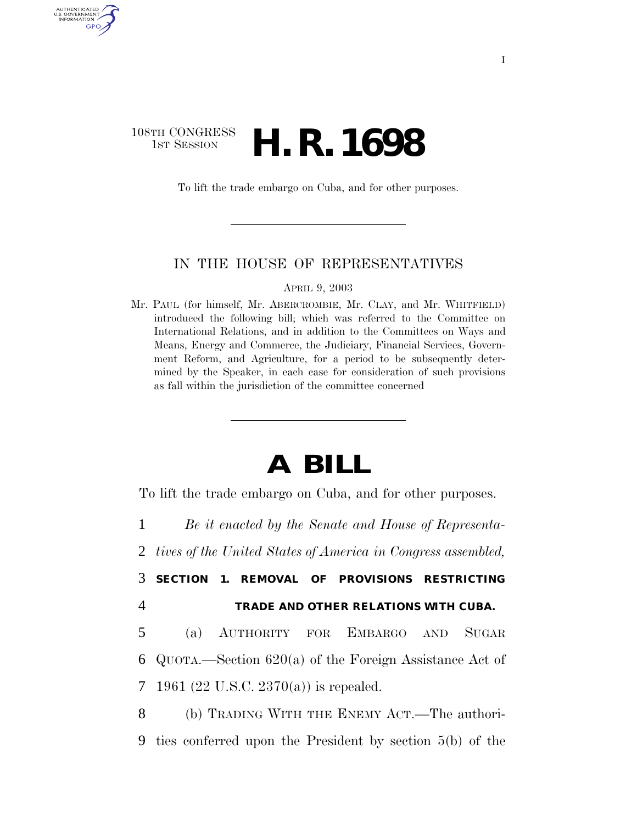# 108TH CONGRESS **1st Session H. R. 1698**

AUTHENTICATED U.S. GOVERNMENT GPO

To lift the trade embargo on Cuba, and for other purposes.

#### IN THE HOUSE OF REPRESENTATIVES

APRIL 9, 2003

Mr. PAUL (for himself, Mr. ABERCROMBIE, Mr. CLAY, and Mr. WHITFIELD) introduced the following bill; which was referred to the Committee on International Relations, and in addition to the Committees on Ways and Means, Energy and Commerce, the Judiciary, Financial Services, Government Reform, and Agriculture, for a period to be subsequently determined by the Speaker, in each case for consideration of such provisions as fall within the jurisdiction of the committee concerned

# **A BILL**

To lift the trade embargo on Cuba, and for other purposes.

1 *Be it enacted by the Senate and House of Representa-*

2 *tives of the United States of America in Congress assembled,* 

- 3 **SECTION 1. REMOVAL OF PROVISIONS RESTRICTING**
- 4 **TRADE AND OTHER RELATIONS WITH CUBA.**

5 (a) AUTHORITY FOR EMBARGO AND SUGAR 6 QUOTA.—Section 620(a) of the Foreign Assistance Act of 7 1961 (22 U.S.C. 2370(a)) is repealed.

8 (b) TRADING WITH THE ENEMY ACT.—The authori-9 ties conferred upon the President by section 5(b) of the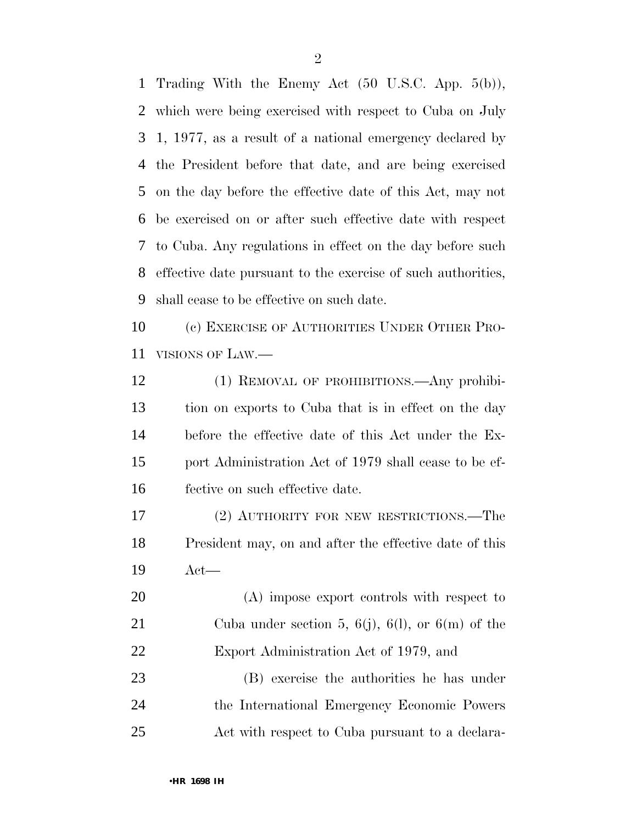Trading With the Enemy Act (50 U.S.C. App. 5(b)), which were being exercised with respect to Cuba on July 1, 1977, as a result of a national emergency declared by the President before that date, and are being exercised on the day before the effective date of this Act, may not be exercised on or after such effective date with respect to Cuba. Any regulations in effect on the day before such effective date pursuant to the exercise of such authorities, shall cease to be effective on such date.

 (c) EXERCISE OF AUTHORITIES UNDER OTHER PRO-VISIONS OF LAW.—

 (1) REMOVAL OF PROHIBITIONS.—Any prohibi- tion on exports to Cuba that is in effect on the day before the effective date of this Act under the Ex- port Administration Act of 1979 shall cease to be ef-fective on such effective date.

 (2) AUTHORITY FOR NEW RESTRICTIONS.—The President may, on and after the effective date of this Act—

 (A) impose export controls with respect to Cuba under section 5, 6(j), 6(l), or 6(m) of the Export Administration Act of 1979, and

 (B) exercise the authorities he has under the International Emergency Economic Powers Act with respect to Cuba pursuant to a declara-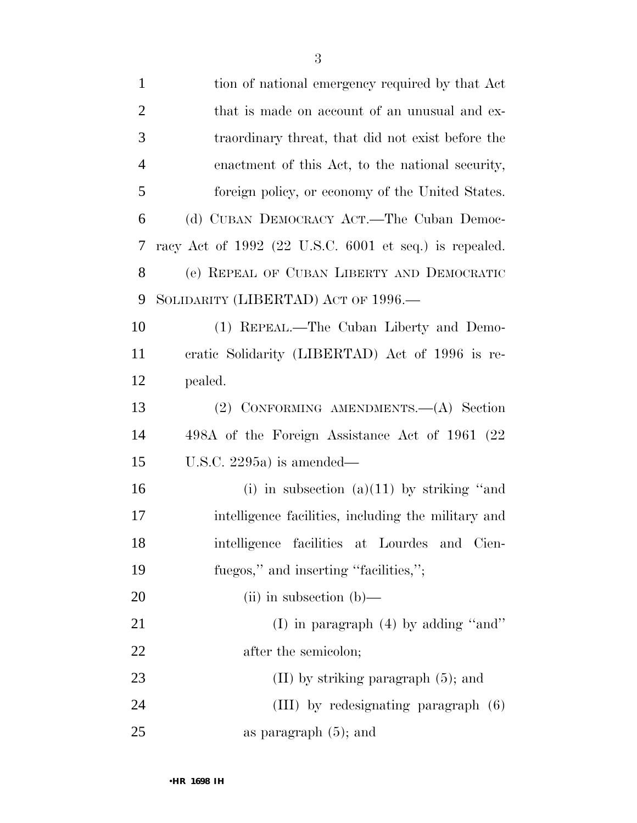| $\mathbf{1}$   | tion of national emergency required by that Act          |
|----------------|----------------------------------------------------------|
| $\overline{2}$ | that is made on account of an unusual and ex-            |
| 3              | traordinary threat, that did not exist before the        |
| $\overline{4}$ | enactment of this Act, to the national security,         |
| 5              | foreign policy, or economy of the United States.         |
| 6              | (d) CUBAN DEMOCRACY ACT.—The Cuban Democ-                |
| 7              | racy Act of $1992$ (22 U.S.C. 6001 et seq.) is repealed. |
| 8              | (e) REPEAL OF CUBAN LIBERTY AND DEMOCRATIC               |
| 9              | SOLIDARITY (LIBERTAD) ACT OF 1996.—                      |
| 10             | (1) REPEAL.—The Cuban Liberty and Demo-                  |
| 11             | cratic Solidarity (LIBERTAD) Act of 1996 is re-          |
| 12             | pealed.                                                  |
| 13             | (2) CONFORMING AMENDMENTS. - (A) Section                 |
| 14             | 498A of the Foreign Assistance Act of 1961 (22           |
| 15             | U.S.C. 2295a) is amended—                                |
| 16             | (i) in subsection (a)(11) by striking "and               |
| 17             | intelligence facilities, including the military and      |
| 18             | intelligence facilities at Lourdes<br>and<br>Cien-       |
| 19             | fuegos," and inserting "facilities,";                    |
| 20             | $(ii)$ in subsection $(b)$ —                             |
| 21             | (I) in paragraph $(4)$ by adding "and"                   |
| 22             | after the semicolon;                                     |
| 23             | $(II)$ by striking paragraph $(5)$ ; and                 |
|                |                                                          |

25 as paragraph (5); and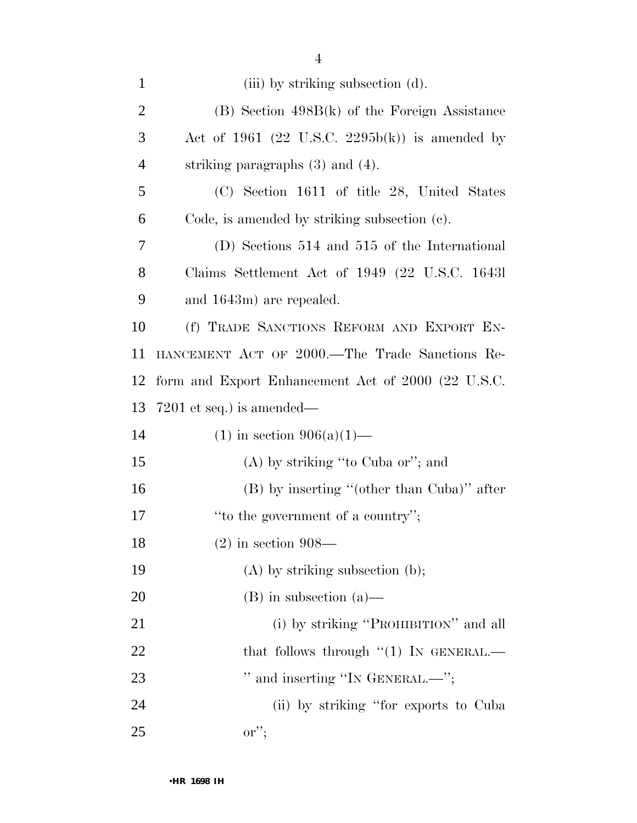| $\mathbf{1}$   | (iii) by striking subsection (d).                  |
|----------------|----------------------------------------------------|
| $\overline{2}$ | $(B)$ Section 498B $(k)$ of the Foreign Assistance |
| 3              | Act of 1961 (22 U.S.C. 2295b(k)) is amended by     |
| $\overline{4}$ | striking paragraphs $(3)$ and $(4)$ .              |
| 5              | (C) Section 1611 of title 28, United States        |
| 6              | Code, is amended by striking subsection (c).       |
| 7              | (D) Sections 514 and 515 of the International      |
| 8              | Claims Settlement Act of 1949 (22 U.S.C. 16431)    |
| 9              | and 1643m) are repealed.                           |
| 10             | (f) TRADE SANCTIONS REFORM AND EXPORT EN-          |
| 11             | HANCEMENT ACT OF 2000.—The Trade Sanctions Re-     |
| 12             | form and Export Enhancement Act of 2000 (22 U.S.C. |
| 13             | $7201$ et seq.) is amended—                        |
| 14             | $(1)$ in section 906(a)(1)—                        |
| 15             | $(A)$ by striking "to Cuba or"; and                |
|                |                                                    |
| 16             | $(B)$ by inserting "(other than Cuba)" after       |
| 17             | "to the government of a country";                  |
| 18             | $(2)$ in section 908—                              |
| 19             | $(A)$ by striking subsection $(b)$ ;               |
| 20             | $(B)$ in subsection $(a)$ —                        |
| 21             | (i) by striking "PROHIBITION" and all              |
| 22             | that follows through $\lq(1)$ In GENERAL.—         |
| 23             | " and inserting "IN GENERAL.—";                    |
| 24             | (ii) by striking "for exports to Cuba"             |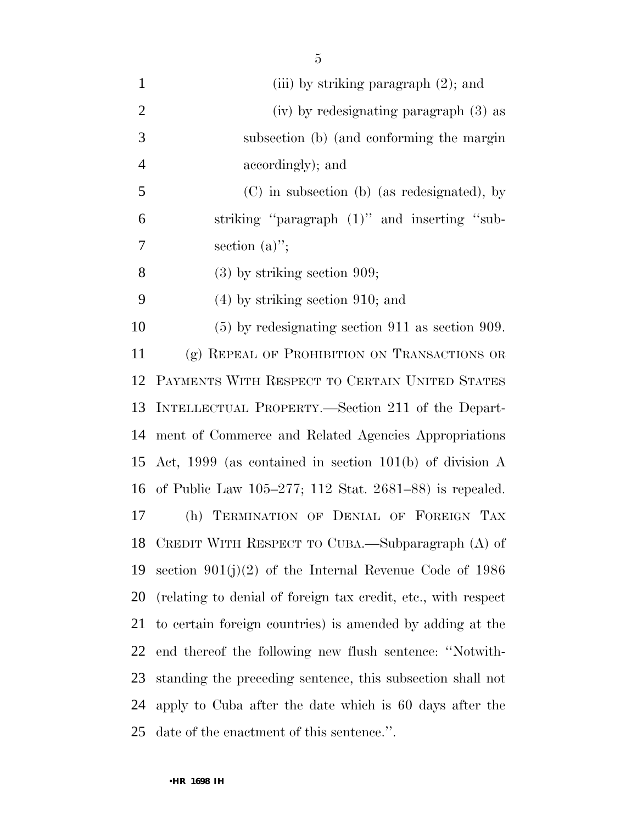1 (iii) by striking paragraph (2); and (iv) by redesignating paragraph (3) as subsection (b) (and conforming the margin accordingly); and (C) in subsection (b) (as redesignated), by striking ''paragraph (1)'' and inserting ''sub- section (a)''; (3) by striking section 909; (4) by striking section 910; and (5) by redesignating section 911 as section 909. (g) REPEAL OF PROHIBITION ON TRANSACTIONS OR PAYMENTS WITH RESPECT TO CERTAIN UNITED STATES INTELLECTUAL PROPERTY.—Section 211 of the Depart- ment of Commerce and Related Agencies Appropriations Act, 1999 (as contained in section 101(b) of division A of Public Law 105–277; 112 Stat. 2681–88) is repealed. (h) TERMINATION OF DENIAL OF FOREIGN TAX CREDIT WITH RESPECT TO CUBA.—Subparagraph (A) of section 901(j)(2) of the Internal Revenue Code of 1986 (relating to denial of foreign tax credit, etc., with respect to certain foreign countries) is amended by adding at the end thereof the following new flush sentence: ''Notwith- standing the preceding sentence, this subsection shall not apply to Cuba after the date which is 60 days after the date of the enactment of this sentence.''.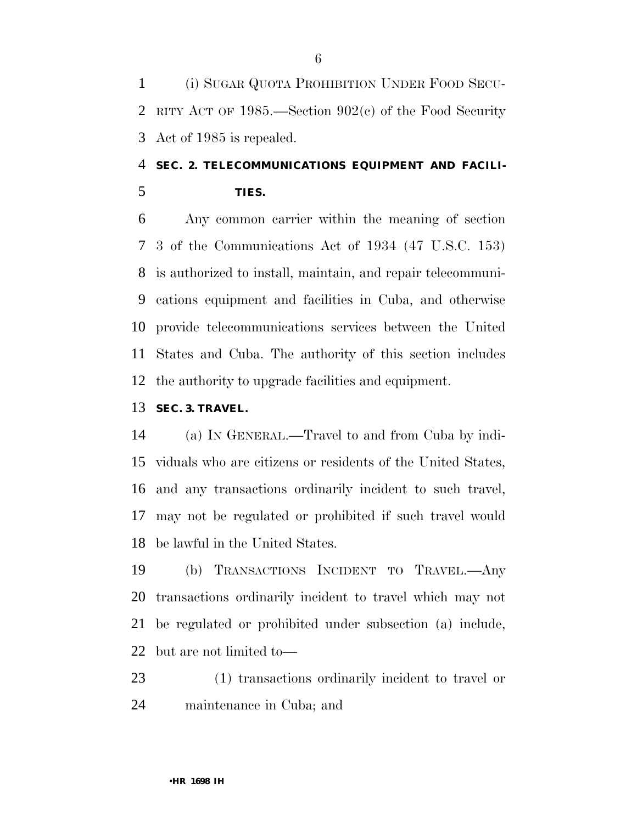(i) SUGAR QUOTA PROHIBITION UNDER FOOD SECU- RITY ACT OF 1985.—Section 902(c) of the Food Security Act of 1985 is repealed.

# **SEC. 2. TELECOMMUNICATIONS EQUIPMENT AND FACILI-TIES.**

 Any common carrier within the meaning of section 3 of the Communications Act of 1934 (47 U.S.C. 153) is authorized to install, maintain, and repair telecommuni- cations equipment and facilities in Cuba, and otherwise provide telecommunications services between the United States and Cuba. The authority of this section includes the authority to upgrade facilities and equipment.

### **SEC. 3. TRAVEL.**

 (a) IN GENERAL.—Travel to and from Cuba by indi- viduals who are citizens or residents of the United States, and any transactions ordinarily incident to such travel, may not be regulated or prohibited if such travel would be lawful in the United States.

 (b) TRANSACTIONS INCIDENT TO TRAVEL.—Any transactions ordinarily incident to travel which may not be regulated or prohibited under subsection (a) include, but are not limited to—

 (1) transactions ordinarily incident to travel or maintenance in Cuba; and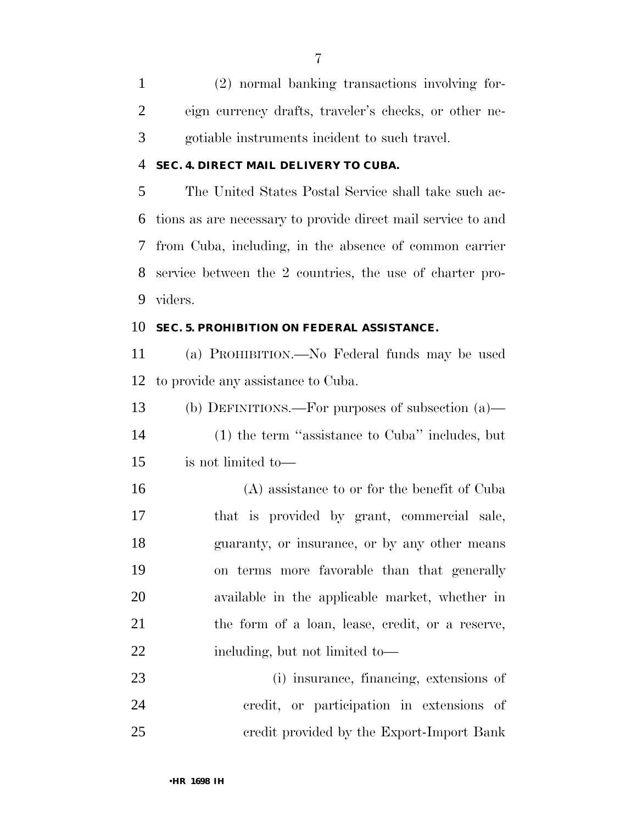(2) normal banking transactions involving for- eign currency drafts, traveler's checks, or other ne-gotiable instruments incident to such travel.

#### **SEC. 4. DIRECT MAIL DELIVERY TO CUBA.**

 The United States Postal Service shall take such ac- tions as are necessary to provide direct mail service to and from Cuba, including, in the absence of common carrier service between the 2 countries, the use of charter pro-viders.

#### **SEC. 5. PROHIBITION ON FEDERAL ASSISTANCE.**

 (a) PROHIBITION.—No Federal funds may be used to provide any assistance to Cuba.

- (b) DEFINITIONS.—For purposes of subsection (a)— (1) the term ''assistance to Cuba'' includes, but is not limited to—
- (A) assistance to or for the benefit of Cuba that is provided by grant, commercial sale, guaranty, or insurance, or by any other means on terms more favorable than that generally available in the applicable market, whether in the form of a loan, lease, credit, or a reserve, 22 including, but not limited to—
- (i) insurance, financing, extensions of credit, or participation in extensions of credit provided by the Export-Import Bank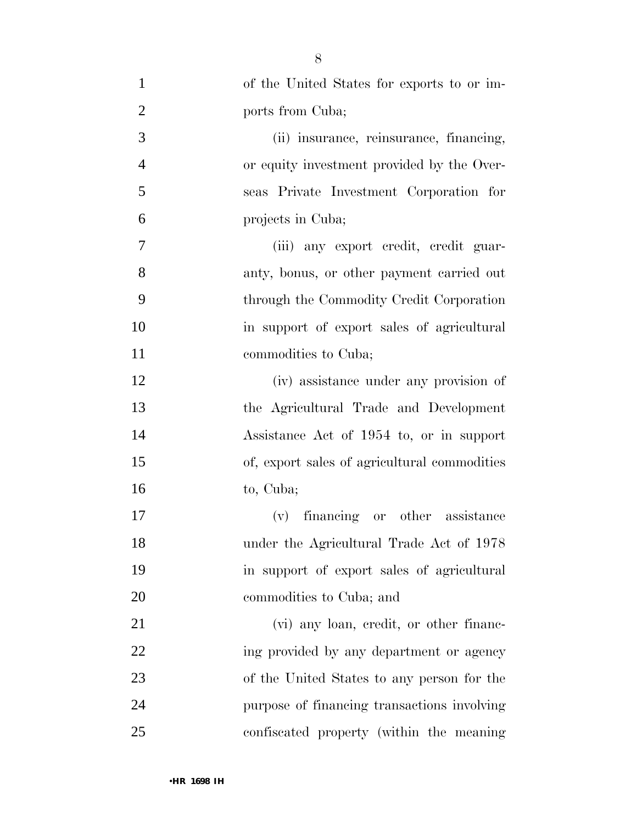| $\mathbf{1}$   | of the United States for exports to or im-   |
|----------------|----------------------------------------------|
| $\overline{2}$ | ports from Cuba;                             |
| 3              | (ii) insurance, reinsurance, financing,      |
| $\overline{4}$ | or equity investment provided by the Over-   |
| 5              | seas Private Investment Corporation for      |
| 6              | projects in Cuba;                            |
| 7              | (iii) any export credit, credit guar-        |
| 8              | anty, bonus, or other payment carried out    |
| 9              | through the Commodity Credit Corporation     |
| 10             | in support of export sales of agricultural   |
| 11             | commodities to Cuba;                         |
| 12             | (iv) assistance under any provision of       |
| 13             | the Agricultural Trade and Development       |
| 14             | Assistance Act of 1954 to, or in support     |
| 15             | of, export sales of agricultural commodities |
| 16             | to, Cuba;                                    |
| 17             | (v) financing or other assistance            |
| 18             | under the Agricultural Trade Act of 1978     |
| 19             | in support of export sales of agricultural   |
| 20             | commodities to Cuba; and                     |
| 21             | (vi) any loan, credit, or other financ-      |
| 22             | ing provided by any department or agency     |
| 23             | of the United States to any person for the   |
| 24             | purpose of financing transactions involving  |
| 25             | confiscated property (within the meaning     |